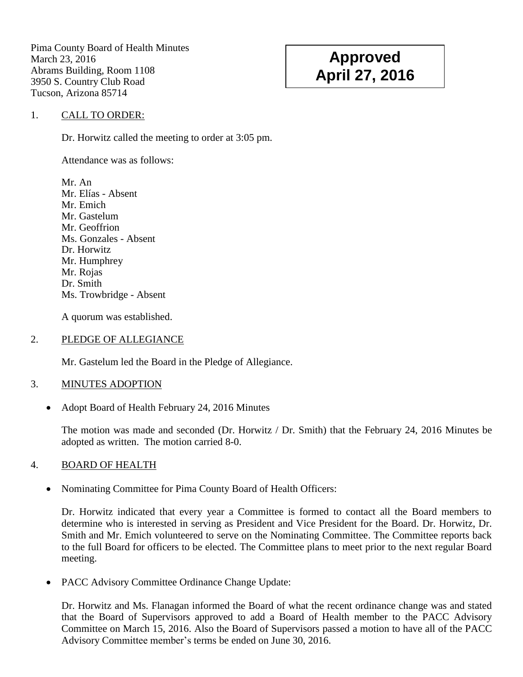Pima County Board of Health Minutes March 23, 2016 Abrams Building, Room 1108 3950 S. Country Club Road Tucson, Arizona 85714

# **Approved April 27, 2016**

### 1. CALL TO ORDER:

Dr. Horwitz called the meeting to order at 3:05 pm.

Attendance was as follows:

Mr. An Mr. Elías - Absent Mr. Emich Mr. Gastelum Mr. Geoffrion Ms. Gonzales - Absent Dr. Horwitz Mr. Humphrey Mr. Rojas Dr. Smith Ms. Trowbridge - Absent

A quorum was established.

#### 2. PLEDGE OF ALLEGIANCE

Mr. Gastelum led the Board in the Pledge of Allegiance.

## 3. MINUTES ADOPTION

• Adopt Board of Health February 24, 2016 Minutes

The motion was made and seconded (Dr. Horwitz / Dr. Smith) that the February 24, 2016 Minutes be adopted as written. The motion carried 8-0.

## 4. BOARD OF HEALTH

Nominating Committee for Pima County Board of Health Officers:

Dr. Horwitz indicated that every year a Committee is formed to contact all the Board members to determine who is interested in serving as President and Vice President for the Board. Dr. Horwitz, Dr. Smith and Mr. Emich volunteered to serve on the Nominating Committee. The Committee reports back to the full Board for officers to be elected. The Committee plans to meet prior to the next regular Board meeting.

• PACC Advisory Committee Ordinance Change Update:

Dr. Horwitz and Ms. Flanagan informed the Board of what the recent ordinance change was and stated that the Board of Supervisors approved to add a Board of Health member to the PACC Advisory Committee on March 15, 2016. Also the Board of Supervisors passed a motion to have all of the PACC Advisory Committee member's terms be ended on June 30, 2016.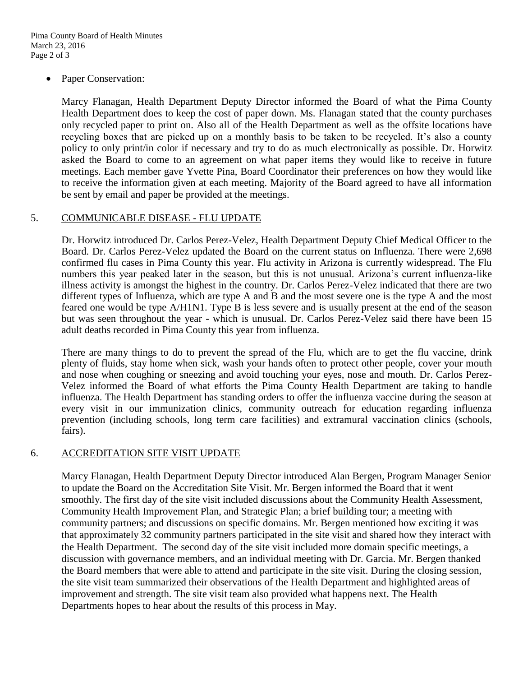Paper Conservation:

Marcy Flanagan, Health Department Deputy Director informed the Board of what the Pima County Health Department does to keep the cost of paper down. Ms. Flanagan stated that the county purchases only recycled paper to print on. Also all of the Health Department as well as the offsite locations have recycling boxes that are picked up on a monthly basis to be taken to be recycled. It's also a county policy to only print/in color if necessary and try to do as much electronically as possible. Dr. Horwitz asked the Board to come to an agreement on what paper items they would like to receive in future meetings. Each member gave Yvette Pina, Board Coordinator their preferences on how they would like to receive the information given at each meeting. Majority of the Board agreed to have all information be sent by email and paper be provided at the meetings.

#### 5. COMMUNICABLE DISEASE - FLU UPDATE

Dr. Horwitz introduced Dr. Carlos Perez-Velez, Health Department Deputy Chief Medical Officer to the Board. Dr. Carlos Perez-Velez updated the Board on the current status on Influenza. There were 2,698 confirmed flu cases in Pima County this year. Flu activity in Arizona is currently widespread. The Flu numbers this year peaked later in the season, but this is not unusual. Arizona's current influenza-like illness activity is amongst the highest in the country. Dr. Carlos Perez-Velez indicated that there are two different types of Influenza, which are type A and B and the most severe one is the type A and the most feared one would be type A/H1N1. Type B is less severe and is usually present at the end of the season but was seen throughout the year - which is unusual. Dr. Carlos Perez-Velez said there have been 15 adult deaths recorded in Pima County this year from influenza.

There are many things to do to prevent the spread of the Flu, which are to get the flu vaccine, drink plenty of fluids, stay home when sick, wash your hands often to protect other people, cover your mouth and nose when coughing or sneezing and avoid touching your eyes, nose and mouth. Dr. Carlos Perez-Velez informed the Board of what efforts the Pima County Health Department are taking to handle influenza. The Health Department has standing orders to offer the influenza vaccine during the season at every visit in our immunization clinics, community outreach for education regarding influenza prevention (including schools, long term care facilities) and extramural vaccination clinics (schools, fairs).

#### 6. ACCREDITATION SITE VISIT UPDATE

Marcy Flanagan, Health Department Deputy Director introduced Alan Bergen, Program Manager Senior to update the Board on the Accreditation Site Visit. Mr. Bergen informed the Board that it went smoothly. The first day of the site visit included discussions about the Community Health Assessment, Community Health Improvement Plan, and Strategic Plan; a brief building tour; a meeting with community partners; and discussions on specific domains. Mr. Bergen mentioned how exciting it was that approximately 32 community partners participated in the site visit and shared how they interact with the Health Department. The second day of the site visit included more domain specific meetings, a discussion with governance members, and an individual meeting with Dr. Garcia. Mr. Bergen thanked the Board members that were able to attend and participate in the site visit. During the closing session, the site visit team summarized their observations of the Health Department and highlighted areas of improvement and strength. The site visit team also provided what happens next. The Health Departments hopes to hear about the results of this process in May.